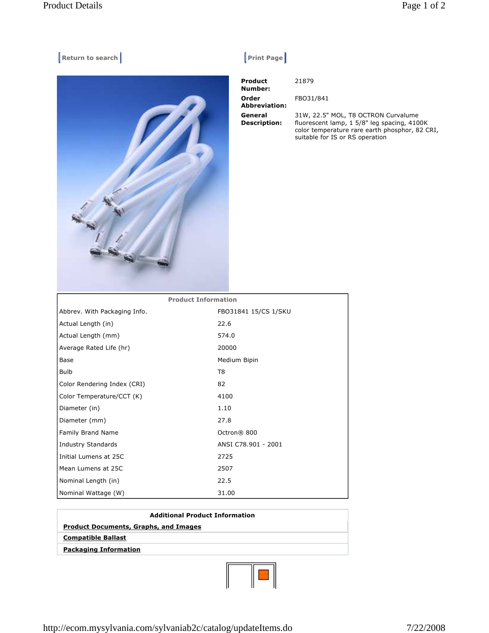## **Return to search Return to search Return Exercise Search Return Exercise Search Return Return Exercise Search Return Return Return Return Return Return Return Return Return Return Return Return Return Return Return Return**



|--|

| <b>Product</b><br>Number:      | 21879                                                                                                                                                                   |
|--------------------------------|-------------------------------------------------------------------------------------------------------------------------------------------------------------------------|
| Order<br><b>Abbreviation:</b>  | FBO31/841                                                                                                                                                               |
| General<br><b>Description:</b> | 31W, 22.5" MOL, T8 OCTRON Curvalume<br>fluorescent lamp, 1 5/8" leg spacing, 4100K<br>color temperature rare earth phosphor, 82 CRI,<br>suitable for IS or RS operation |

| <b>Product Information</b>   |                      |  |
|------------------------------|----------------------|--|
| Abbrev. With Packaging Info. | FB031841 15/CS 1/SKU |  |
| Actual Length (in)           | 22.6                 |  |
| Actual Length (mm)           | 574.0                |  |
| Average Rated Life (hr)      | 20000                |  |
| Base                         | Medium Bipin         |  |
| <b>Bulb</b>                  | T8                   |  |
| Color Rendering Index (CRI)  | 82                   |  |
| Color Temperature/CCT (K)    | 4100                 |  |
| Diameter (in)                | 1.10                 |  |
| Diameter (mm)                | 27.8                 |  |
| Family Brand Name            | Octron® 800          |  |
| <b>Industry Standards</b>    | ANSI C78.901 - 2001  |  |
| Initial Lumens at 25C        | 2725                 |  |
| Mean Lumens at 25C           | 2507                 |  |
| Nominal Length (in)          | 22.5                 |  |
| Nominal Wattage (W)          | 31.00                |  |

| <b>Additional Product Information</b>        |  |  |
|----------------------------------------------|--|--|
| <b>Product Documents, Graphs, and Images</b> |  |  |
| <b>Compatible Ballast</b>                    |  |  |
| <b>Packaging Information</b>                 |  |  |